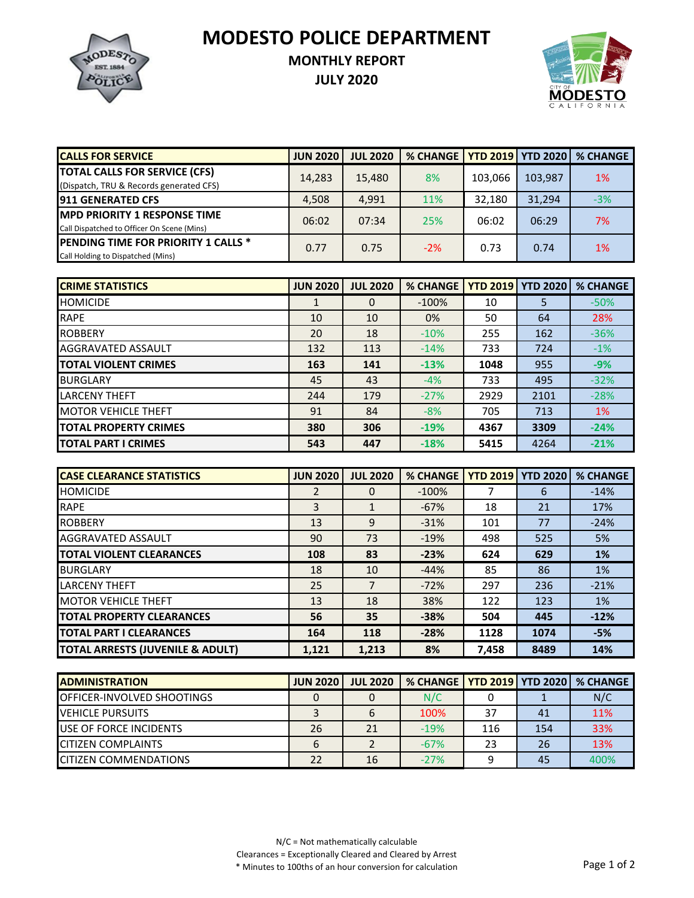**MODESTO POLICE DEPARTMENT**



## **MONTHLY REPORT**

**JULY 2020**



| <b>CALLS FOR SERVICE</b>                   | <b>JUN 2020</b> | <b>JUL 2020</b> | <b>% CHANGE</b> |         | <b>FYTD 2019   YTD 2020</b> | <b>% CHANGE</b> |
|--------------------------------------------|-----------------|-----------------|-----------------|---------|-----------------------------|-----------------|
| <b>TOTAL CALLS FOR SERVICE (CFS)</b>       | 14,283          | 15,480          | 8%              | 103.066 | 103,987                     | 1%              |
| (Dispatch, TRU & Records generated CFS)    |                 |                 |                 |         |                             |                 |
| <b>1911 GENERATED CFS</b>                  | 4,508           | 4.991           | 11%             | 32.180  | 31.294                      | $-3%$           |
| <b>IMPD PRIORITY 1 RESPONSE TIME</b>       | 06:02           | 07:34           | 25%             | 06:02   | 06:29                       | 7%              |
| Call Dispatched to Officer On Scene (Mins) |                 |                 |                 |         |                             |                 |
| <b>PENDING TIME FOR PRIORITY 1 CALLS *</b> | 0.77            | 0.75            | $-2%$           | 0.73    | 0.74                        | 1%              |
| Call Holding to Dispatched (Mins)          |                 |                 |                 |         |                             |                 |

| <b>CRIME STATISTICS</b>      | <b>JUN 2020</b> | <b>JUL 2020</b> | <b>% CHANGE</b> | <b>YTD 2019</b> | <b>YTD 2020</b> | <b>% CHANGE</b> |
|------------------------------|-----------------|-----------------|-----------------|-----------------|-----------------|-----------------|
| <b>HOMICIDE</b>              |                 | 0               | $-100%$         | 10              | 5               | $-50%$          |
| <b>RAPE</b>                  | 10              | 10              | 0%              | 50              | 64              | 28%             |
| <b>ROBBERY</b>               | 20              | 18              | $-10%$          | 255             | 162             | $-36%$          |
| AGGRAVATED ASSAULT           | 132             | 113             | $-14%$          | 733             | 724             | $-1%$           |
| <b>TOTAL VIOLENT CRIMES</b>  | 163             | 141             | $-13%$          | 1048            | 955             | $-9%$           |
| <b>BURGLARY</b>              | 45              | 43              | $-4%$           | 733             | 495             | $-32%$          |
| <b>ILARCENY THEFT</b>        | 244             | 179             | $-27%$          | 2929            | 2101            | $-28%$          |
| <b>IMOTOR VEHICLE THEFT</b>  | 91              | 84              | $-8%$           | 705             | 713             | <b>1%</b>       |
| <b>TOTAL PROPERTY CRIMES</b> | 380             | 306             | $-19%$          | 4367            | 3309            | $-24%$          |
| <b>ITOTAL PART I CRIMES</b>  | 543             | 447             | $-18%$          | 5415            | 4264            | $-21%$          |

| <b>CASE CLEARANCE STATISTICS</b>            | <b>JUN 2020</b> | <b>JUL 2020</b> | <b>% CHANGE</b> | <b>YTD 2019</b> | <b>YTD 2020</b> | <b>% CHANGE</b> |
|---------------------------------------------|-----------------|-----------------|-----------------|-----------------|-----------------|-----------------|
| <b>HOMICIDE</b>                             |                 | 0               | $-100%$         |                 | 6               | $-14%$          |
| <b>RAPE</b>                                 | 3               | 1               | $-67%$          | 18              | 21              | 17%             |
| <b>ROBBERY</b>                              | 13              | 9               | $-31%$          | 101             | 77              | $-24%$          |
| AGGRAVATED ASSAULT                          | 90              | 73              | $-19%$          | 498             | 525             | 5%              |
| <b>TOTAL VIOLENT CLEARANCES</b>             | 108             | 83              | $-23%$          | 624             | 629             | $1\%$           |
| <b>BURGLARY</b>                             | 18              | 10              | $-44%$          | 85              | 86              | 1%              |
| <b>LARCENY THEFT</b>                        | 25              |                 | $-72%$          | 297             | 236             | $-21%$          |
| <b>MOTOR VEHICLE THEFT</b>                  | 13              | 18              | 38%             | 122             | 123             | <b>1%</b>       |
| <b>TOTAL PROPERTY CLEARANCES</b>            | 56              | 35              | $-38%$          | 504             | 445             | $-12%$          |
| <b>TOTAL PART I CLEARANCES</b>              | 164             | 118             | $-28%$          | 1128            | 1074            | $-5%$           |
| <b>TOTAL ARRESTS (JUVENILE &amp; ADULT)</b> | 1,121           | 1,213           | 8%              | 7,458           | 8489            | 14%             |

| <b>ADMINISTRATION</b>              | <b>JUN 2020</b> | <b>JUL 2020</b> | % CHANGE   YTD 2019   YTD 2020   % CHANGE |     |     |      |
|------------------------------------|-----------------|-----------------|-------------------------------------------|-----|-----|------|
| <b>IOFFICER-INVOLVED SHOOTINGS</b> |                 |                 | N/C                                       |     |     | N/C  |
| <b>IVEHICLE PURSUITS</b>           |                 |                 | 100%                                      | 37  | 41  | 11%  |
| <b>IUSE OF FORCE INCIDENTS</b>     | 26              | 21              | $-19%$                                    | 116 | 154 | 33%  |
| <b>CITIZEN COMPLAINTS</b>          |                 |                 | $-67%$                                    | 23  | 26  | 13%  |
| <b>CITIZEN COMMENDATIONS</b>       | 22              | 16              | $-27%$                                    |     | 45  | 400% |